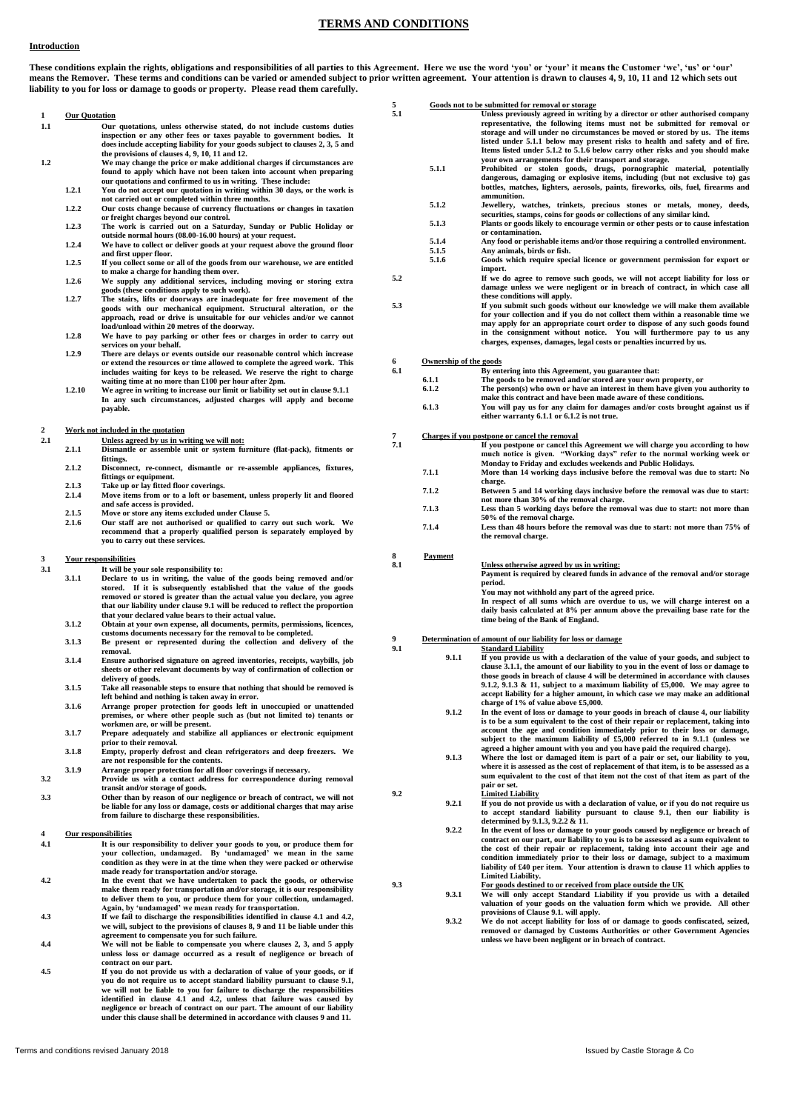## **TERMS AND CONDITIONS**

## **Introduction**

These conditions explain the rights, obligations and responsibilities of all parties to this Agreement. Here we use the word 'your' or 'your' it means the Customer 'we', 'us' or 'our' **means the Remover. These terms and conditions can be varied or amended subject to prior written agreement. Your attention is drawn to clauses 4, 9, 10, 11 and 12 which sets out liability to you for loss or damage to goods or property. Please read them carefully.**

|                  |                      |                                                                                                                                               | 5              |                        | Goods not to be submitted for removal or storage                                                                                                                      |
|------------------|----------------------|-----------------------------------------------------------------------------------------------------------------------------------------------|----------------|------------------------|-----------------------------------------------------------------------------------------------------------------------------------------------------------------------|
| 1                | <b>Our Quotation</b> |                                                                                                                                               | 5.1            |                        | Unless previously agreed in writing by a director or other authorised company                                                                                         |
| 1.1              |                      | Our quotations, unless otherwise stated, do not include customs duties                                                                        |                |                        | representative, the following items must not be submitted for removal or                                                                                              |
|                  |                      | inspection or any other fees or taxes payable to government bodies. It                                                                        |                |                        | storage and will under no circumstances be moved or stored by us. The items                                                                                           |
|                  |                      | does include accepting liability for your goods subject to clauses 2, 3, 5 and                                                                |                |                        | listed under 5.1.1 below may present risks to health and safety and of fire.<br>Items listed under 5.1.2 to 5.1.6 below carry other risks and you should make         |
| $1.2\,$          |                      | the provisions of clauses 4, 9, 10, 11 and 12.<br>We may change the price or make additional charges if circumstances are                     |                |                        | your own arrangements for their transport and storage.                                                                                                                |
|                  |                      | found to apply which have not been taken into account when preparing                                                                          |                | 5.1.1                  | Prohibited or stolen goods, drugs, pornographic material, potentially                                                                                                 |
|                  |                      | our quotations and confirmed to us in writing. These include:                                                                                 |                |                        | dangerous, damaging or explosive items, including (but not exclusive to) gas                                                                                          |
|                  | 1.2.1                | You do not accept our quotation in writing within 30 days, or the work is                                                                     |                |                        | bottles, matches, lighters, aerosols, paints, fireworks, oils, fuel, firearms and<br>ammunition.                                                                      |
|                  |                      | not carried out or completed within three months.                                                                                             |                | 5.1.2                  | Jewellery, watches, trinkets, precious stones or metals, money, deeds,                                                                                                |
|                  | 1.2.2                | Our costs change because of currency fluctuations or changes in taxation<br>or freight charges beyond our control.                            |                |                        | securities, stamps, coins for goods or collections of any similar kind.                                                                                               |
|                  | 1.2.3                | The work is carried out on a Saturday, Sunday or Public Holiday or                                                                            |                | 5.1.3                  | Plants or goods likely to encourage vermin or other pests or to cause infestation                                                                                     |
|                  |                      | outside normal hours (08.00-16.00 hours) at your request.                                                                                     |                |                        | or contamination.                                                                                                                                                     |
|                  | 1.2.4                | We have to collect or deliver goods at your request above the ground floor                                                                    |                | 5.1.4<br>5.1.5         | Any food or perishable items and/or those requiring a controlled environment.<br>Any animals, birds or fish.                                                          |
|                  |                      | and first upper floor.                                                                                                                        |                | 5.1.6                  | Goods which require special licence or government permission for export or                                                                                            |
|                  | 1.2.5                | If you collect some or all of the goods from our warehouse, we are entitled<br>to make a charge for handing them over.                        |                |                        | import.                                                                                                                                                               |
|                  | 1.2.6                | We supply any additional services, including moving or storing extra                                                                          | 5.2            |                        | If we do agree to remove such goods, we will not accept liability for loss or                                                                                         |
|                  |                      | goods (these conditions apply to such work).                                                                                                  |                |                        | damage unless we were negligent or in breach of contract, in which case all                                                                                           |
|                  | 1.2.7                | The stairs, lifts or doorways are inadequate for free movement of the                                                                         | 5.3            |                        | these conditions will apply.<br>If you submit such goods without our knowledge we will make them available                                                            |
|                  |                      | goods with our mechanical equipment. Structural alteration, or the<br>approach, road or drive is unsuitable for our vehicles and/or we cannot |                |                        | for your collection and if you do not collect them within a reasonable time we                                                                                        |
|                  |                      | load/unload within 20 metres of the doorway.                                                                                                  |                |                        | may apply for an appropriate court order to dispose of any such goods found                                                                                           |
|                  | 1.2.8                | We have to pay parking or other fees or charges in order to carry out                                                                         |                |                        | in the consignment without notice. You will furthermore pay to us any                                                                                                 |
|                  |                      | services on your behalf.                                                                                                                      |                |                        | charges, expenses, damages, legal costs or penalties incurred by us.                                                                                                  |
|                  | 1.2.9                | There are delays or events outside our reasonable control which increase                                                                      |                | Ownership of the goods |                                                                                                                                                                       |
|                  |                      | or extend the resources or time allowed to complete the agreed work. This                                                                     | 6<br>6.1       |                        | By entering into this Agreement, you guarantee that:                                                                                                                  |
|                  |                      | includes waiting for keys to be released. We reserve the right to charge<br>waiting time at no more than £100 per hour after 2pm.             |                | 6.1.1                  | The goods to be removed and/or stored are your own property, or                                                                                                       |
|                  | 1.2.10               | We agree in writing to increase our limit or liability set out in clause 9.1.1                                                                |                | 6.1.2                  | The person(s) who own or have an interest in them have given you authority to                                                                                         |
|                  |                      | In any such circumstances, adjusted charges will apply and become                                                                             |                |                        | make this contract and have been made aware of these conditions.                                                                                                      |
|                  |                      | payable.                                                                                                                                      |                | 6.1.3                  | You will pay us for any claim for damages and/or costs brought against us if                                                                                          |
|                  |                      |                                                                                                                                               |                |                        | either warranty 6.1.1 or 6.1.2 is not true.                                                                                                                           |
| $\boldsymbol{2}$ |                      | Work not included in the quotation                                                                                                            | $\overline{7}$ |                        | Charges if you postpone or cancel the removal                                                                                                                         |
| 2.1              |                      | Unless agreed by us in writing we will not:                                                                                                   | 7.1            |                        | If you postpone or cancel this Agreement we will charge you according to how                                                                                          |
|                  | 2.1.1                | Dismantle or assemble unit or system furniture (flat-pack), fitments or<br>fittings.                                                          |                |                        | much notice is given. "Working days" refer to the normal working week or                                                                                              |
|                  | 2.1.2                | Disconnect, re-connect, dismantle or re-assemble appliances, fixtures,                                                                        |                |                        | Monday to Friday and excludes weekends and Public Holidays.                                                                                                           |
|                  |                      | fittings or equipment.                                                                                                                        |                | 7.1.1                  | More than 14 working days inclusive before the removal was due to start: No                                                                                           |
|                  | 2.1.3                | Take up or lay fitted floor coverings.                                                                                                        |                | 7.1.2                  | charge.<br>Between 5 and 14 working days inclusive before the removal was due to start:                                                                               |
|                  | 2.1.4                | Move items from or to a loft or basement, unless properly lit and floored                                                                     |                |                        | not more than 30% of the removal charge.                                                                                                                              |
|                  | 2.1.5                | and safe access is provided.                                                                                                                  |                | 7.1.3                  | Less than 5 working days before the removal was due to start: not more than                                                                                           |
|                  | 2.1.6                | Move or store any items excluded under Clause 5.<br>Our staff are not authorised or qualified to carry out such work. We                      |                |                        | 50% of the removal charge.                                                                                                                                            |
|                  |                      | recommend that a properly qualified person is separately employed by                                                                          |                | 7.1.4                  | Less than 48 hours before the removal was due to start: not more than 75% of                                                                                          |
|                  |                      | you to carry out these services.                                                                                                              |                |                        | the removal charge.                                                                                                                                                   |
|                  |                      |                                                                                                                                               | 8              | Payment                |                                                                                                                                                                       |
| 3<br>3.1         |                      | Your responsibilities                                                                                                                         | 8.1            |                        | Unless otherwise agreed by us in writing:                                                                                                                             |
|                  | 3.1.1                | It will be your sole responsibility to:<br>Declare to us in writing, the value of the goods being removed and/or                              |                |                        | Payment is required by cleared funds in advance of the removal and/or storage                                                                                         |
|                  |                      | stored. If it is subsequently established that the value of the goods                                                                         |                |                        | period.                                                                                                                                                               |
|                  |                      | removed or stored is greater than the actual value you declare, you agree                                                                     |                |                        | You may not withhold any part of the agreed price.<br>In respect of all sums which are overdue to us, we will charge interest on a                                    |
|                  |                      | that our liability under clause 9.1 will be reduced to reflect the proportion                                                                 |                |                        | daily basis calculated at 8% per annum above the prevailing base rate for the                                                                                         |
|                  |                      | that your declared value bears to their actual value.                                                                                         |                |                        | time being of the Bank of England.                                                                                                                                    |
|                  | 3.1.2                | Obtain at your own expense, all documents, permits, permissions, licences,<br>customs documents necessary for the removal to be completed.    |                |                        |                                                                                                                                                                       |
|                  | 3.1.3                | Be present or represented during the collection and delivery of the                                                                           | 9              |                        | Determination of amount of our liability for loss or damage                                                                                                           |
|                  |                      | removal.                                                                                                                                      | 9.1            |                        | <b>Standard Liability</b>                                                                                                                                             |
|                  | 3.1.4                | Ensure authorised signature on agreed inventories, receipts, waybills, job                                                                    |                | 9.1.1                  | If you provide us with a declaration of the value of your goods, and subject to                                                                                       |
|                  |                      | sheets or other relevant documents by way of confirmation of collection or                                                                    |                |                        | clause 3.1.1, the amount of our liability to you in the event of loss or damage to<br>those goods in breach of clause 4 will be determined in accordance with clauses |
|                  | 3.1.5                | delivery of goods.                                                                                                                            |                |                        | 9.1.2, 9.1.3 & 11, subject to a maximum liability of $£5,000$ . We may agree to                                                                                       |
|                  |                      | Take all reasonable steps to ensure that nothing that should be removed is<br>left behind and nothing is taken away in error.                 |                |                        | accept liability for a higher amount, in which case we may make an additional                                                                                         |
|                  | 3.1.6                | Arrange proper protection for goods left in unoccupied or unattended                                                                          |                |                        | charge of 1% of value above £5,000.                                                                                                                                   |
|                  |                      | premises, or where other people such as (but not limited to) tenants or                                                                       |                | 9.1.2                  | In the event of loss or damage to your goods in breach of clause 4, our liability                                                                                     |
|                  |                      | workmen are, or will be present.                                                                                                              |                |                        | is to be a sum equivalent to the cost of their repair or replacement, taking into<br>account the age and condition immediately prior to their loss or damage,         |
|                  | 3.1.7                | Prepare adequately and stabilize all appliances or electronic equipment                                                                       |                |                        | subject to the maximum liability of £5,000 referred to in 9.1.1 (unless we                                                                                            |
|                  | 3.1.8                | prior to their removal.<br>Empty, properly defrost and clean refrigerators and deep freezers. We                                              |                |                        | agreed a higher amount with you and you have paid the required charge).                                                                                               |
|                  |                      | are not responsible for the contents.                                                                                                         |                | 9.1.3                  | Where the lost or damaged item is part of a pair or set, our liability to you,                                                                                        |
|                  | 3.1.9                | Arrange proper protection for all floor coverings if necessary.                                                                               |                |                        | where it is assessed as the cost of replacement of that item, is to be assessed as a                                                                                  |
| 3.2              |                      | Provide us with a contact address for correspondence during removal                                                                           |                |                        | sum equivalent to the cost of that item not the cost of that item as part of the                                                                                      |
|                  |                      | transit and/or storage of goods.                                                                                                              | 9.2            |                        | pair or set.<br><b>Limited Liability</b>                                                                                                                              |
| 3.3              |                      | Other than by reason of our negligence or breach of contract, we will not                                                                     |                | 9.2.1                  | If you do not provide us with a declaration of value, or if you do not require us                                                                                     |
|                  |                      | be liable for any loss or damage, costs or additional charges that may arise<br>from failure to discharge these responsibilities.             |                |                        | to accept standard liability pursuant to clause 9.1, then our liability is                                                                                            |
|                  |                      |                                                                                                                                               |                |                        | determined by 9.1.3, 9.2.2 & 11.                                                                                                                                      |
| 4                |                      | <b>Our responsibilities</b>                                                                                                                   |                | 9.2.2                  | In the event of loss or damage to your goods caused by negligence or breach of                                                                                        |
| 4.1              |                      | It is our responsibility to deliver your goods to you, or produce them for                                                                    |                |                        | contract on our part, our liability to you is to be assessed as a sum equivalent to<br>the cost of their repair or replacement, taking into account their age and     |
|                  |                      | your collection, undamaged. By 'undamaged' we mean in the same                                                                                |                |                        | condition immediately prior to their loss or damage, subject to a maximum                                                                                             |
|                  |                      | condition as they were in at the time when they were packed or otherwise                                                                      |                |                        | liability of £40 per item. Your attention is drawn to clause 11 which applies to                                                                                      |
| 4.2              |                      | made ready for transportation and/or storage.<br>In the event that we have undertaken to pack the goods, or otherwise                         |                |                        | Limited Liability.                                                                                                                                                    |
|                  |                      | make them ready for transportation and/or storage, it is our responsibility                                                                   | 9.3            |                        | For goods destined to or received from place outside the UK                                                                                                           |
|                  |                      | to deliver them to you, or produce them for your collection, undamaged.                                                                       |                | 9.3.1                  | We will only accept Standard Liability if you provide us with a detailed                                                                                              |
|                  |                      | Again, by 'undamaged' we mean ready for transportation.                                                                                       |                |                        | valuation of your goods on the valuation form which we provide. All other<br>provisions of Clause 9.1. will apply.                                                    |
| 4.3              |                      | If we fail to discharge the responsibilities identified in clause 4.1 and 4.2,                                                                |                | 9.3.2                  | We do not accept liability for loss of or damage to goods confiscated, seized,                                                                                        |
|                  |                      | we will, subject to the provisions of clauses 8, 9 and 11 be liable under this                                                                |                |                        | removed or damaged by Customs Authorities or other Government Agencies                                                                                                |
|                  |                      | agreement to compensate you for such failure.                                                                                                 |                |                        | unless we have been negligent or in breach of contract.                                                                                                               |

- **4.3** Again, by 'undamaged' we mean ready for transportation.<br>If we fail to discharge the responsibilities identified in clause 4.1 and 4.2,<br>we will, subject to the provisions of clauses 8, 9 and 11 be liable under this<br>agreemen
- **4.4**
- **4.5** unless loss or damage occurred as a result of negligence or breach of<br>contract on our part.<br>If you do not provide us with a declaration of value of your goods, or if<br>you do not require us to accept standard liability pursu identified in clause 4.1 and 4.2, unless that failure was caused by<br>negligence or breach of contract on our part. The amount of our liability<br>under this clause shall be determined in accordance with clauses 9 and 11.